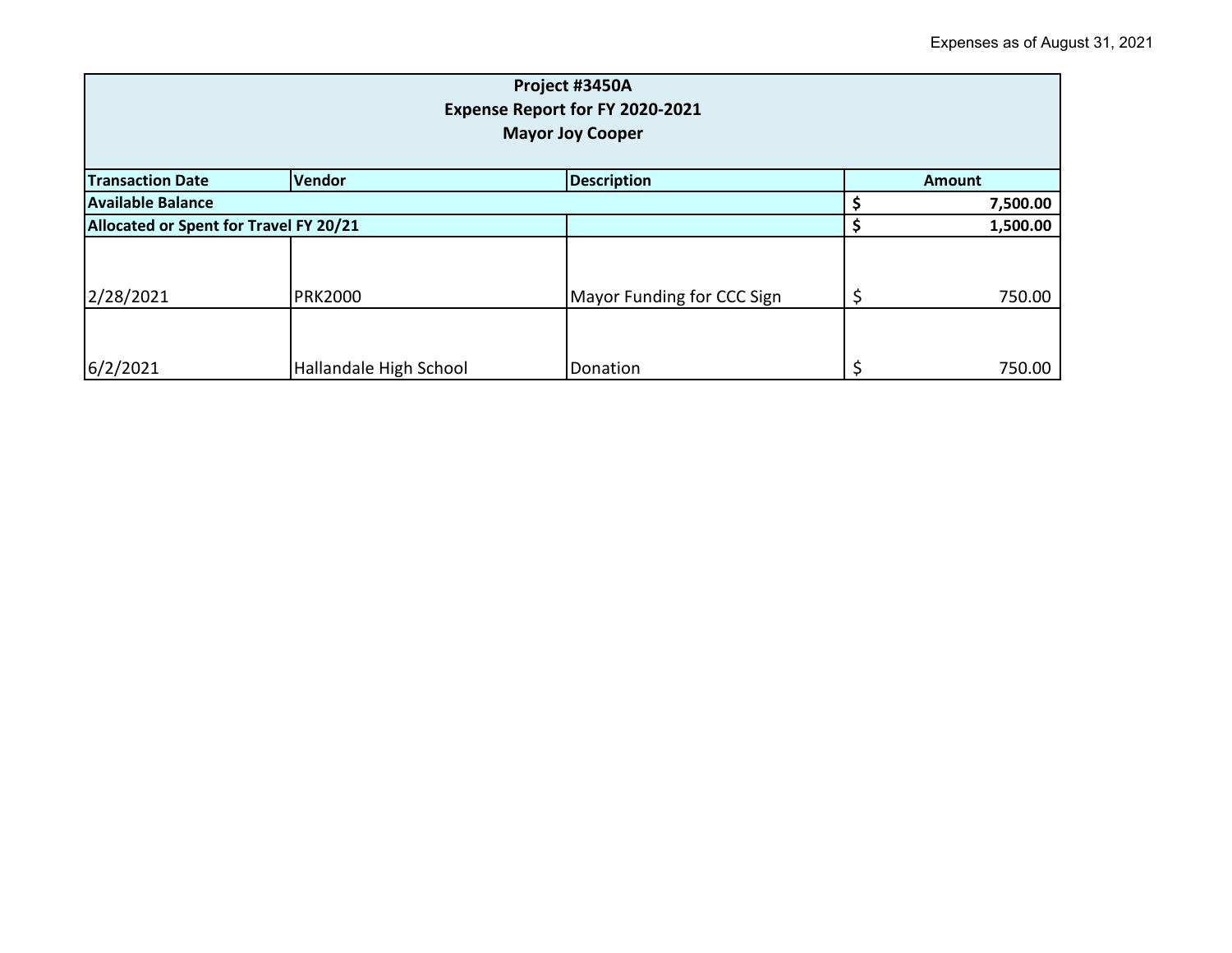| Project #3450A<br>Expense Report for FY 2020-2021<br><b>Mayor Joy Cooper</b> |                        |                            |  |          |  |
|------------------------------------------------------------------------------|------------------------|----------------------------|--|----------|--|
| <b>Description</b><br><b>Vendor</b><br><b>Transaction Date</b>               |                        |                            |  | Amount   |  |
| <b>Available Balance</b>                                                     |                        |                            |  | 7,500.00 |  |
| Allocated or Spent for Travel FY 20/21                                       |                        |                            |  | 1,500.00 |  |
|                                                                              |                        |                            |  |          |  |
| 2/28/2021                                                                    | <b>PRK2000</b>         | Mayor Funding for CCC Sign |  | 750.00   |  |
| 6/2/2021                                                                     | Hallandale High School | Donation                   |  | 750.00   |  |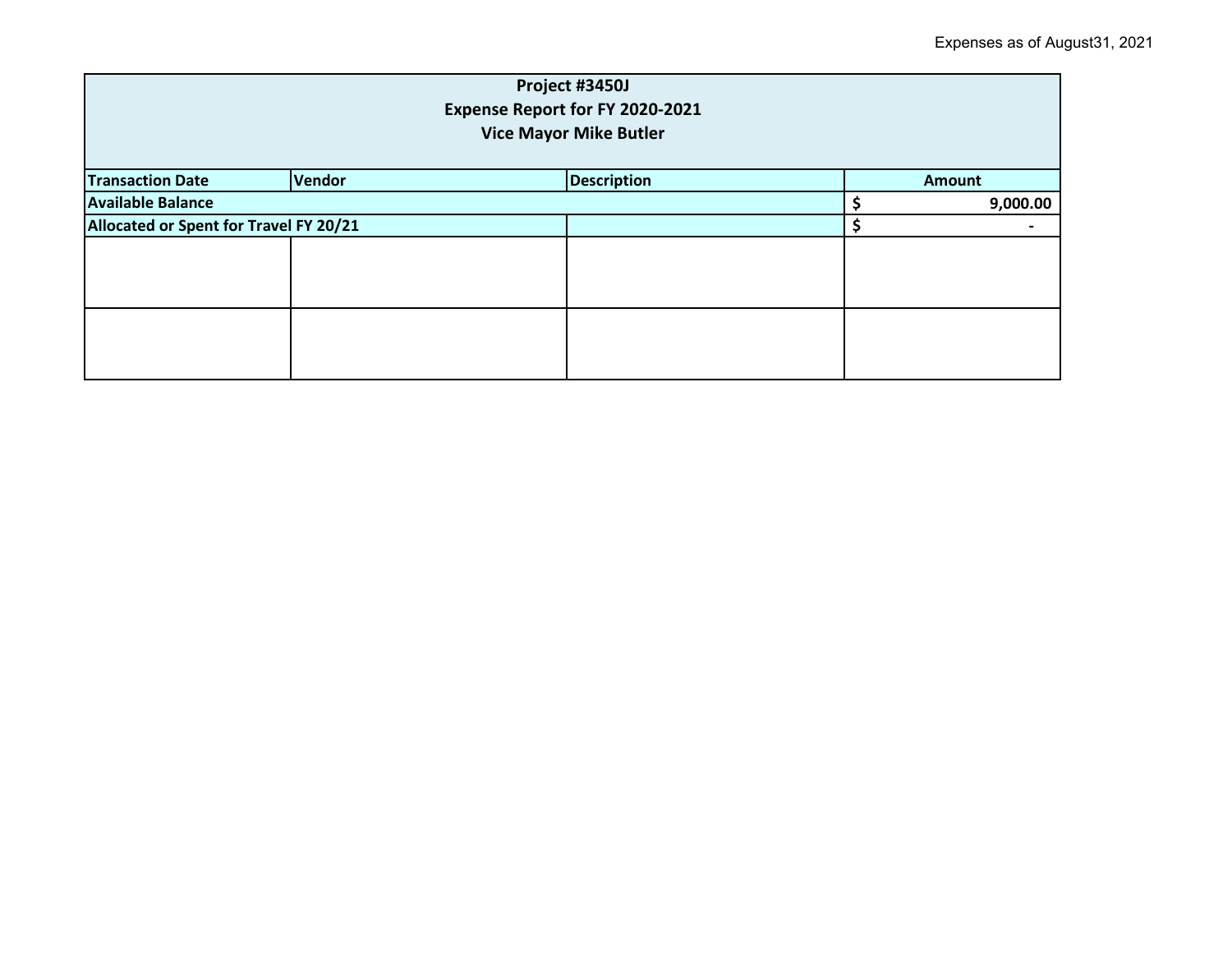| Project #3450J<br>Expense Report for FY 2020-2021<br><b>Vice Mayor Mike Butler</b> |                                               |  |  |          |  |
|------------------------------------------------------------------------------------|-----------------------------------------------|--|--|----------|--|
| <b>Transaction Date</b>                                                            | Vendor<br><b>Description</b><br><b>Amount</b> |  |  |          |  |
| <b>Available Balance</b>                                                           |                                               |  |  | 9,000.00 |  |
| Allocated or Spent for Travel FY 20/21                                             |                                               |  |  |          |  |
|                                                                                    |                                               |  |  |          |  |
|                                                                                    |                                               |  |  |          |  |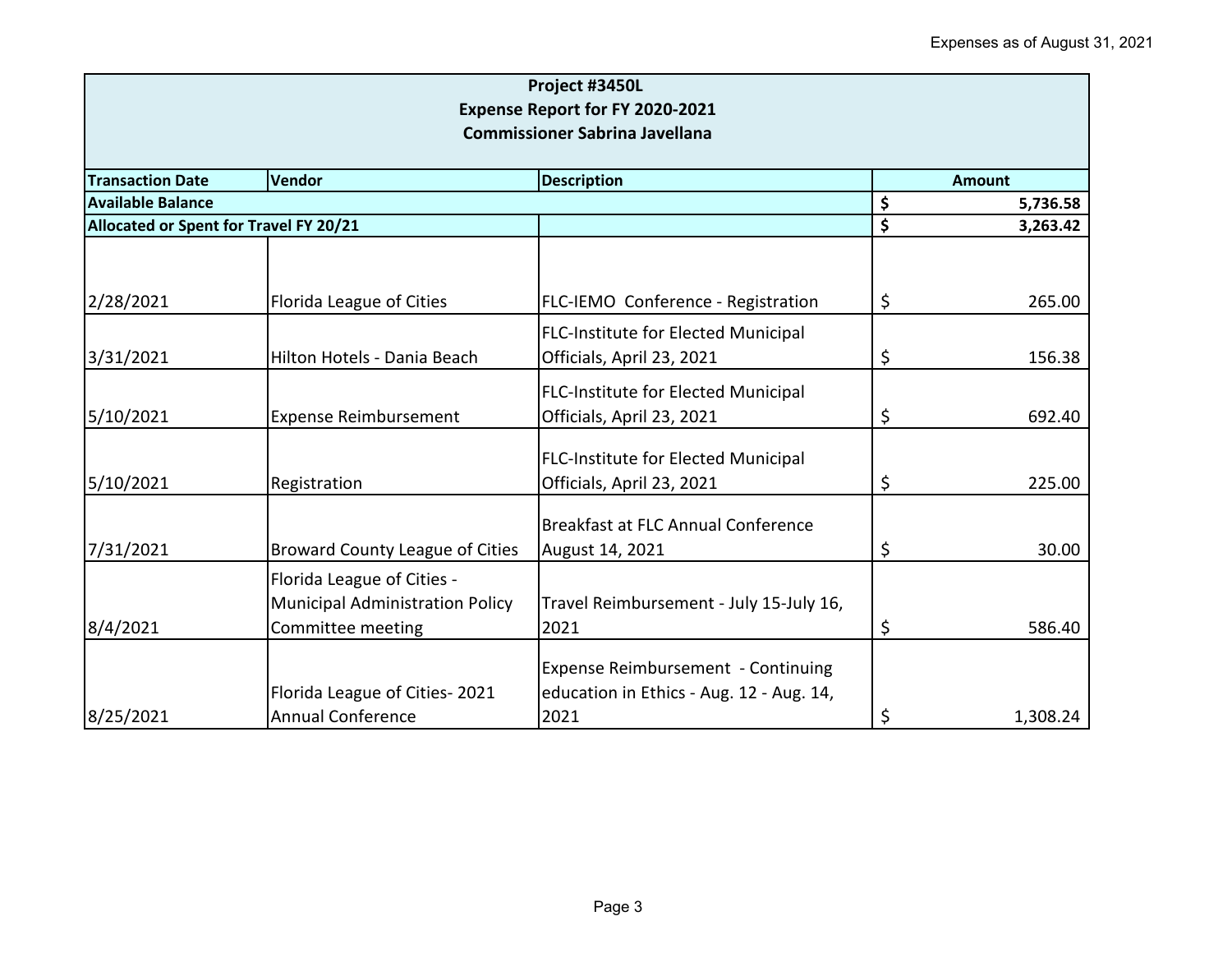| Project #3450L<br>Expense Report for FY 2020-2021<br><b>Commissioner Sabrina Javellana</b> |                                                                                           |                                                                                        |    |          |  |
|--------------------------------------------------------------------------------------------|-------------------------------------------------------------------------------------------|----------------------------------------------------------------------------------------|----|----------|--|
| <b>Transaction Date</b>                                                                    | <b>Amount</b>                                                                             |                                                                                        |    |          |  |
| <b>Available Balance</b>                                                                   |                                                                                           |                                                                                        | \$ | 5,736.58 |  |
| Allocated or Spent for Travel FY 20/21                                                     |                                                                                           |                                                                                        | \$ | 3,263.42 |  |
| 2/28/2021                                                                                  | Florida League of Cities                                                                  | FLC-IEMO Conference - Registration                                                     | \$ | 265.00   |  |
| 3/31/2021                                                                                  | Hilton Hotels - Dania Beach                                                               | <b>FLC-Institute for Elected Municipal</b><br>Officials, April 23, 2021                | \$ | 156.38   |  |
| 5/10/2021                                                                                  | <b>Expense Reimbursement</b>                                                              | <b>FLC-Institute for Elected Municipal</b><br>Officials, April 23, 2021                | \$ | 692.40   |  |
| 5/10/2021                                                                                  | Registration                                                                              | <b>FLC-Institute for Elected Municipal</b><br>Officials, April 23, 2021                | \$ | 225.00   |  |
| 7/31/2021                                                                                  | <b>Broward County League of Cities</b>                                                    | <b>Breakfast at FLC Annual Conference</b><br>August 14, 2021                           | \$ | 30.00    |  |
| 8/4/2021                                                                                   | Florida League of Cities -<br><b>Municipal Administration Policy</b><br>Committee meeting | Travel Reimbursement - July 15-July 16,<br>2021                                        | \$ | 586.40   |  |
| 8/25/2021                                                                                  | Florida League of Cities-2021<br><b>Annual Conference</b>                                 | Expense Reimbursement - Continuing<br>education in Ethics - Aug. 12 - Aug. 14,<br>2021 | \$ | 1,308.24 |  |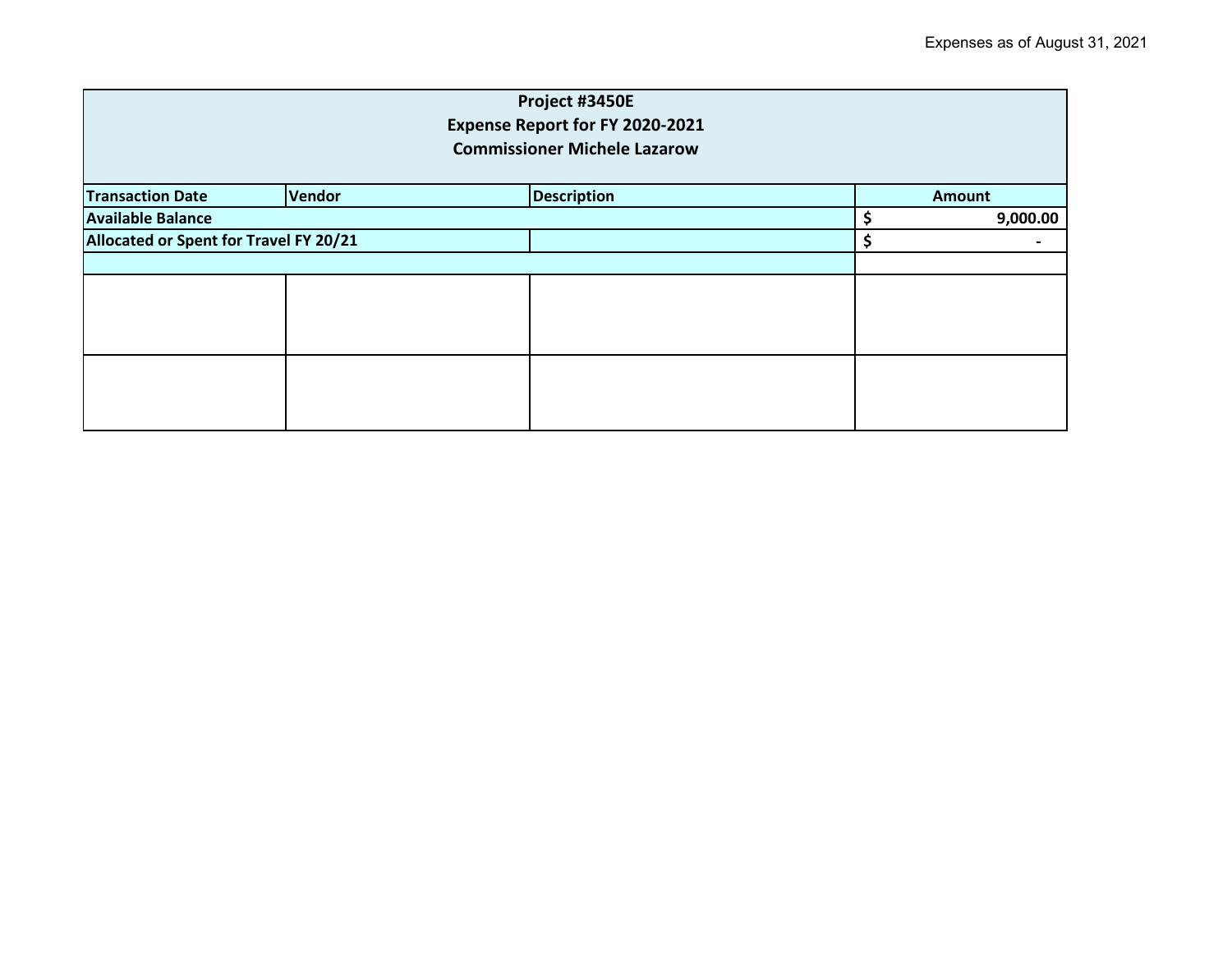| Project #3450E<br>Expense Report for FY 2020-2021<br><b>Commissioner Michele Lazarow</b> |               |                    |  |               |  |
|------------------------------------------------------------------------------------------|---------------|--------------------|--|---------------|--|
| <b>Transaction Date</b>                                                                  | <b>Vendor</b> | <b>Description</b> |  | <b>Amount</b> |  |
| <b>Available Balance</b>                                                                 |               |                    |  | 9,000.00      |  |
| Allocated or Spent for Travel FY 20/21                                                   |               |                    |  | \$            |  |
|                                                                                          |               |                    |  |               |  |
|                                                                                          |               |                    |  |               |  |
|                                                                                          |               |                    |  |               |  |
|                                                                                          |               |                    |  |               |  |
|                                                                                          |               |                    |  |               |  |
|                                                                                          |               |                    |  |               |  |
|                                                                                          |               |                    |  |               |  |